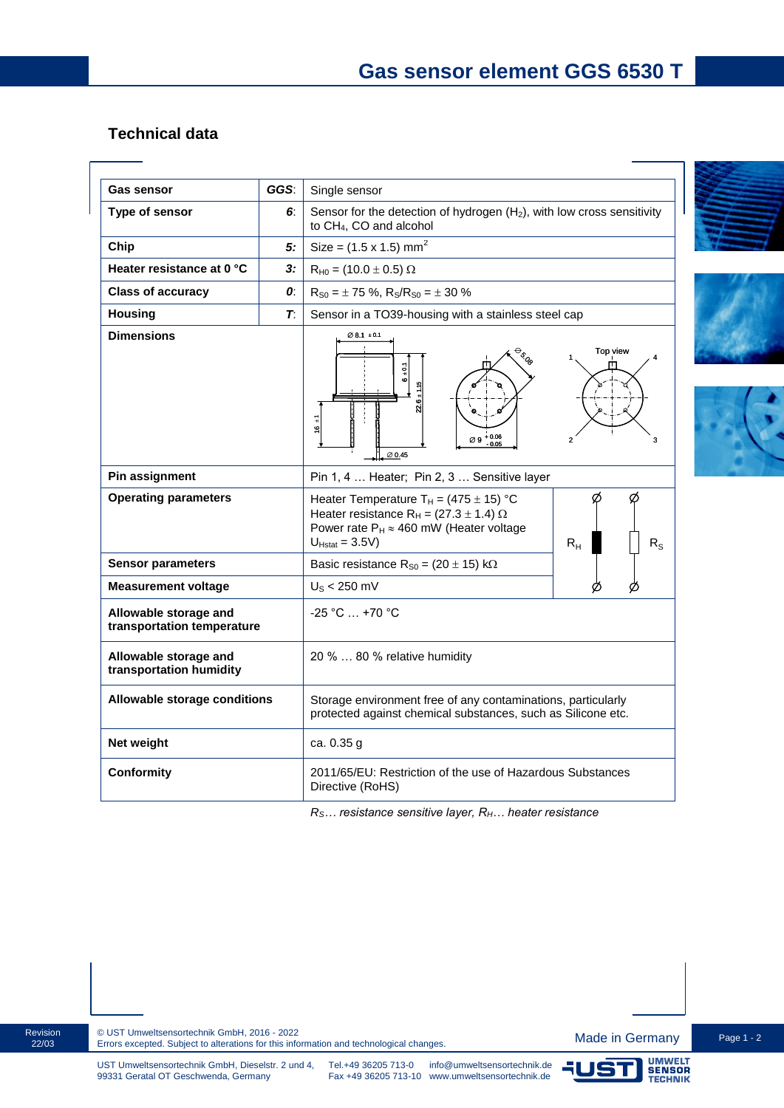## **Technical data**

| <b>Gas sensor</b>                                   | GGS: | Single sensor                                                                                                                                                                                             |
|-----------------------------------------------------|------|-----------------------------------------------------------------------------------------------------------------------------------------------------------------------------------------------------------|
| Type of sensor                                      | 6.   | Sensor for the detection of hydrogen $(H_2)$ , with low cross sensitivity<br>to CH <sub>4</sub> , CO and alcohol                                                                                          |
| Chip                                                | 5:   | Size = $(1.5 \times 1.5)$ mm <sup>2</sup>                                                                                                                                                                 |
| Heater resistance at 0 °C                           | 3:   | $R_{H0} = (10.0 \pm 0.5) \Omega$                                                                                                                                                                          |
| <b>Class of accuracy</b>                            | 0:   | $R_{S0} = \pm 75$ %, $R_S/R_{S0} = \pm 30$ %                                                                                                                                                              |
| <b>Housing</b>                                      | T.   | Sensor in a TO39-housing with a stainless steel cap                                                                                                                                                       |
| <b>Dimensions</b>                                   |      | $\emptyset$ 8.1 $\pm$ 0.1<br>Top view<br><b>BOO</b><br>$\frac{5}{9}$<br>Ö<br>$16 \pm 1$<br>$\varnothing$ 9 + 0.06<br>3<br>Ø 0.45                                                                          |
| Pin assignment                                      |      | Pin 1, 4  Heater; Pin 2, 3  Sensitive layer                                                                                                                                                               |
| <b>Operating parameters</b>                         |      | Heater Temperature $T_H = (475 \pm 15)$ °C<br>Heater resistance R <sub>H</sub> = (27.3 $\pm$ 1.4) $\Omega$<br>Power rate $P_H \approx 460$ mW (Heater voltage<br>$U_{Hstat} = 3.5V$<br>$R_{H}$<br>$R_{S}$ |
| <b>Sensor parameters</b>                            |      | Basic resistance $R_{S0} = (20 \pm 15) \text{ k}\Omega$                                                                                                                                                   |
| <b>Measurement voltage</b>                          |      | $U_{\rm S}$ < 250 mV                                                                                                                                                                                      |
| Allowable storage and<br>transportation temperature |      | -25 °C  +70 °C                                                                                                                                                                                            |
| Allowable storage and<br>transportation humidity    |      | 20 %  80 % relative humidity                                                                                                                                                                              |
| Allowable storage conditions                        |      | Storage environment free of any contaminations, particularly<br>protected against chemical substances, such as Silicone etc.                                                                              |
| Net weight                                          |      | ca. 0.35 g                                                                                                                                                                                                |
| <b>Conformity</b>                                   |      | 2011/65/EU: Restriction of the use of Hazardous Substances<br>Directive (RoHS)                                                                                                                            |

*RS… resistance sensitive layer, RH… heater resistance*







99331 Geratal OT Geschwenda, Germany